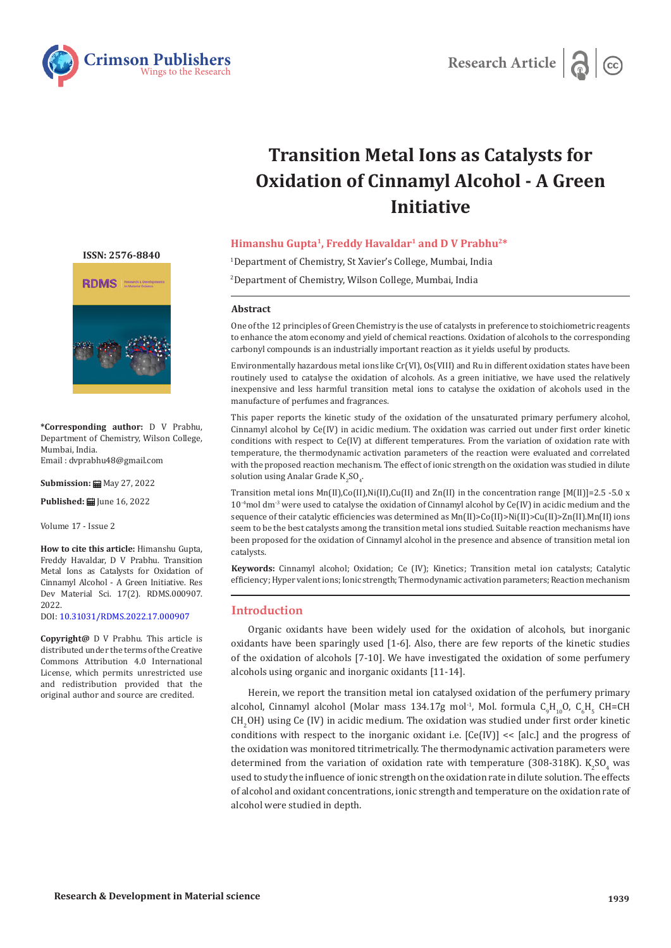



# **Transition Metal Ions as Catalysts for Oxidation of Cinnamyl Alcohol - A Green Initiative**

# **Himanshu Gupta1, Freddy Havaldar1 and D V Prabhu2\***

1 Department of Chemistry, St Xavier's College, Mumbai, India

2 Department of Chemistry, Wilson College, Mumbai, India

#### **Abstract**

One of the 12 principles of Green Chemistry is the use of catalysts in preference to stoichiometric reagents to enhance the atom economy and yield of chemical reactions. Oxidation of alcohols to the corresponding carbonyl compounds is an industrially important reaction as it yields useful by products.

Environmentally hazardous metal ions like Cr(VI), Os(VIII) and Ru in different oxidation states have been routinely used to catalyse the oxidation of alcohols. As a green initiative, we have used the relatively inexpensive and less harmful transition metal ions to catalyse the oxidation of alcohols used in the manufacture of perfumes and fragrances.

This paper reports the kinetic study of the oxidation of the unsaturated primary perfumery alcohol, Cinnamyl alcohol by Ce(IV) in acidic medium. The oxidation was carried out under first order kinetic conditions with respect to Ce(IV) at different temperatures. From the variation of oxidation rate with temperature, the thermodynamic activation parameters of the reaction were evaluated and correlated with the proposed reaction mechanism. The effect of ionic strength on the oxidation was studied in dilute solution using Analar Grade  $\mathrm{K_2SO_4}.$ 

Transition metal ions  $Mn(II),Co(II),Ni(II),Cu(II)$  and  $Zn(II)$  in the concentration range  $[M(II)]=2.5 -5.0$  x  $10<sup>-4</sup>$ mol dm<sup>-3</sup> were used to catalyse the oxidation of Cinnamyl alcohol by Ce(IV) in acidic medium and the sequence of their catalytic efficiencies was determined as Mn(II)>Co(II)>Ni(II)>Cu(II)>Zn(II).Mn(II) ions seem to be the best catalysts among the transition metal ions studied. Suitable reaction mechanisms have been proposed for the oxidation of Cinnamyl alcohol in the presence and absence of transition metal ion catalysts.

**Keywords:** Cinnamyl alcohol; Oxidation; Ce (IV); Kinetics; Transition metal ion catalysts; Catalytic efficiency; Hyper valent ions; Ionic strength; Thermodynamic activation parameters; Reaction mechanism

# **Introduction**

Organic oxidants have been widely used for the oxidation of alcohols, but inorganic oxidants have been sparingly used [1-6]. Also, there are few reports of the kinetic studies of the oxidation of alcohols [7-10]. We have investigated the oxidation of some perfumery alcohols using organic and inorganic oxidants [11-14].

Herein, we report the transition metal ion catalysed oxidation of the perfumery primary alcohol, Cinnamyl alcohol (Molar mass 134.17g mol<sup>-1</sup>, Mol. formula  $C_9H_{10}O$ ,  $C_6H_5$  CH=CH  $CH_2OH$ ) using Ce (IV) in acidic medium. The oxidation was studied under first order kinetic conditions with respect to the inorganic oxidant i.e.  $[Ce(IV)] \ll [alc]$  and the progress of the oxidation was monitored titrimetrically. The thermodynamic activation parameters were determined from the variation of oxidation rate with temperature (308-318K).  $K_2SO_4$  was used to study the influence of ionic strength on the oxidation rate in dilute solution. The effects of alcohol and oxidant concentrations, ionic strength and temperature on the oxidation rate of alcohol were studied in depth.

**[ISSN: 2576-8840](https://crimsonpublishers.com/rdms/index.php)**



**\*Corresponding author:** D V Prabhu, Department of Chemistry, Wilson College, Mumbai, India. Email : dvprabhu48@gmail.com

**Submission: 曲** May 27, 2022

**Published: | Iune 16, 2022** 

Volume 17 - Issue 2

**How to cite this article:** Himanshu Gupta, Freddy Havaldar, D V Prabhu. Transition Metal Ions as Catalysts for Oxidation of Cinnamyl Alcohol - A Green Initiative. Res Dev Material Sci. 17(2). RDMS.000907. 2022.

DOI: [10.31031/RDMS.2022.17.000907](http://dx.doi.org/10.31031/RDMS.2022.17.000907)

**Copyright@** D V Prabhu. This article is distributed under the terms of the Creative Commons Attribution 4.0 International License, which permits unrestricted use and redistribution provided that the original author and source are credited.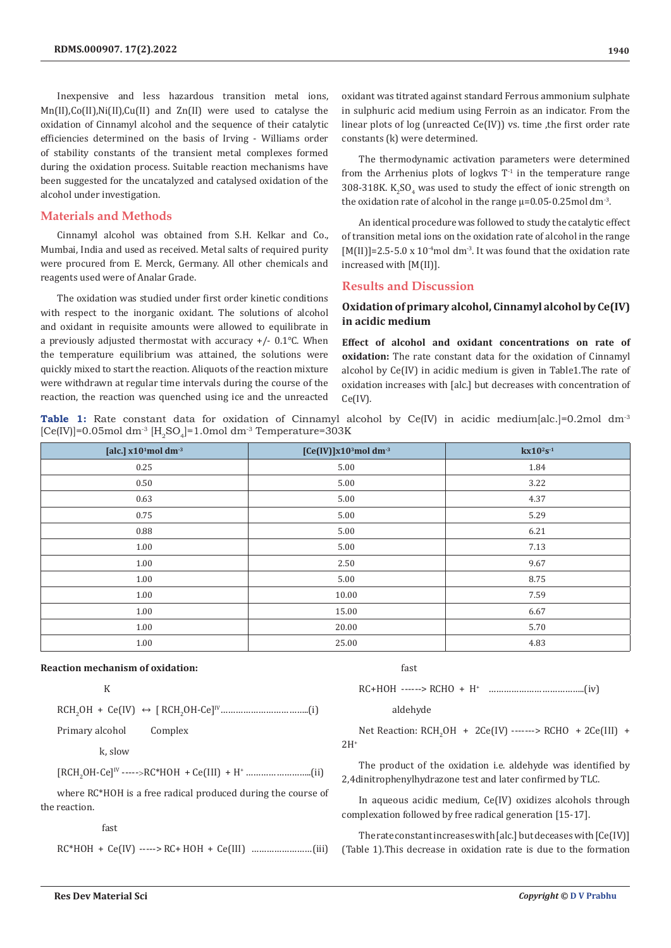Inexpensive and less hazardous transition metal ions, Mn(II),Co(II),Ni(II),Cu(II) and Zn(II) were used to catalyse the oxidation of Cinnamyl alcohol and the sequence of their catalytic efficiencies determined on the basis of Irving - Williams order of stability constants of the transient metal complexes formed during the oxidation process. Suitable reaction mechanisms have been suggested for the uncatalyzed and catalysed oxidation of the alcohol under investigation.

## **Materials and Methods**

Cinnamyl alcohol was obtained from S.H. Kelkar and Co., Mumbai, India and used as received. Metal salts of required purity were procured from E. Merck, Germany. All other chemicals and reagents used were of Analar Grade.

The oxidation was studied under first order kinetic conditions with respect to the inorganic oxidant. The solutions of alcohol and oxidant in requisite amounts were allowed to equilibrate in a previously adjusted thermostat with accuracy +/- 0.1℃. When the temperature equilibrium was attained, the solutions were quickly mixed to start the reaction. Aliquots of the reaction mixture were withdrawn at regular time intervals during the course of the reaction, the reaction was quenched using ice and the unreacted oxidant was titrated against standard Ferrous ammonium sulphate in sulphuric acid medium using Ferroin as an indicator. From the linear plots of log (unreacted Ce(IV)) vs. time ,the first order rate constants (k) were determined.

The thermodynamic activation parameters were determined from the Arrhenius plots of logkys  $T<sup>-1</sup>$  in the temperature range  $308$ -318K. K<sub>2</sub>SO<sub>4</sub> was used to study the effect of ionic strength on the oxidation rate of alcohol in the range  $\mu$ =0.05-0.25mol dm<sup>-3</sup>.

An identical procedure was followed to study the catalytic effect of transition metal ions on the oxidation rate of alcohol in the range  $[M(II)] = 2.5 - 5.0 \times 10^{-4}$  moldm<sup>-3</sup>. It was found that the oxidation rate increased with [M(II)].

#### **Results and Discussion**

# **Oxidation of primary alcohol, Cinnamyl alcohol by Ce(IV) in acidic medium**

**Effect of alcohol and oxidant concentrations on rate of oxidation:** The rate constant data for the oxidation of Cinnamyl alcohol by Ce(IV) in acidic medium is given in Table1.The rate of oxidation increases with [alc.] but decreases with concentration of Ce(IV).

**Table 1:** Rate constant data for oxidation of Cinnamyl alcohol by Ce(IV) in acidic medium[alc.]=0.2mol dm<sup>-3</sup>  $[Ce(IV)]$ =0.05mol dm<sup>-3</sup>  $[H<sub>o</sub>SO<sub>a</sub>]$ =1.0mol dm<sup>-3</sup> Temperature=303K

| [alc.] $x101$ mol dm <sup>-3</sup> | [Ce(IV)] $x10^3$ mol dm <sup>-3</sup> | $kx10^2s^{-1}$ |  |
|------------------------------------|---------------------------------------|----------------|--|
| 0.25                               | 5.00                                  | 1.84           |  |
| 0.50                               | 5.00                                  | 3.22           |  |
| 0.63                               | 5.00                                  | 4.37           |  |
| 0.75                               | 5.00                                  | 5.29           |  |
| 0.88                               | 5.00                                  | 6.21           |  |
| 1.00                               | 5.00                                  | 7.13           |  |
| 1.00                               | 2.50                                  | 9.67           |  |
| 1.00                               | 5.00                                  | 8.75           |  |
| 1.00                               | 10.00                                 | 7.59           |  |
| 1.00                               | 15.00                                 | 6.67           |  |
| 1.00                               | 20.00                                 | 5.70           |  |
| 1.00                               | 25.00                                 | 4.83           |  |

### **Reaction mechanism of oxidation:**

k karena a K

RCH2 OH + Ce(IV) ↔ [ RCH<sup>2</sup> OH-Ce]IV……………………………..(i)

Primary alcohol Complex

k, slow

[RCH2 OH-Ce]IV ----->RC\*HOH + Ce(III) + H+ ……………………..(ii)

where RC\*HOH is a free radical produced during the course of the reaction.

fast

RC\*HOH + Ce(IV) -----> RC+ HOH + Ce(III) ……………………(iii)

fast

RC+HOH ------> RCHO + H<sup>+</sup> ………………………………..(iv)

aldehyde

Net Reaction:  $KCH_2OH + 2Ce(IV)$  ------->  $KCHO + 2Ce(III) +$  $2H<sup>+</sup>$ 

The product of the oxidation i.e. aldehyde was identified by 2,4dinitrophenylhydrazone test and later confirmed by TLC.

In aqueous acidic medium, Ce(IV) oxidizes alcohols through complexation followed by free radical generation [15-17].

The rate constant increases with [alc.] but deceases with [Ce(IV)] (Table 1).This decrease in oxidation rate is due to the formation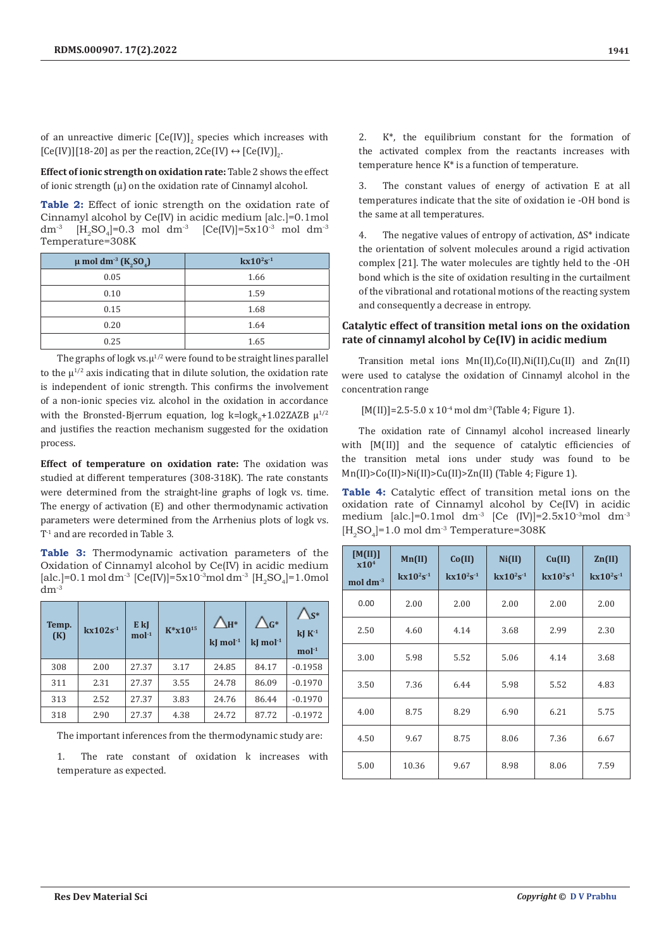of an unreactive dimeric  $[CE(\text{IV})]_2$  species which increases with [Ce(IV)][18-20] as per the reaction,  $2$ Ce(IV)  $\leftrightarrow$  [Ce(IV)]<sub>2</sub>.

**Effect of ionic strength on oxidation rate:** Table 2 shows the effect of ionic strength  $(\mu)$  on the oxidation rate of Cinnamyl alcohol.

**Table 2:** Effect of ionic strength on the oxidation rate of Cinnamyl alcohol by Ce(IV) in acidic medium [alc.]=0.1mol dm<sup>-3</sup> [H<sub>2</sub>SO<sub>4</sub>]=0.3 mol dm<sup>-3</sup> [Ce(IV)]=5x10<sup>-3</sup> mol dm<sup>-3</sup> Temperature=308K

| $\mu$ mol dm <sup>-3</sup> (K <sub>2</sub> SO <sub>4</sub> ) | $kx10^{2}s^{-1}$ |
|--------------------------------------------------------------|------------------|
| 0.05                                                         | 1.66             |
| 0.10                                                         | 1.59             |
| 0.15                                                         | 1.68             |
| 0.20                                                         | 1.64             |
| 0.25                                                         | 1.65             |

The graphs of logk vs. $\mu^{1/2}$  were found to be straight lines parallel to the  $\mu^{1/2}$  axis indicating that in dilute solution, the oxidation rate is independent of ionic strength. This confirms the involvement of a non-ionic species viz. alcohol in the oxidation in accordance with the Bronsted-Bjerrum equation, log k=log $k_0+1.02ZAZB~\mu^{1/2}$ and justifies the reaction mechanism suggested for the oxidation process.

**Effect of temperature on oxidation rate:** The oxidation was studied at different temperatures (308-318K). The rate constants were determined from the straight-line graphs of logk vs. time. The energy of activation (E) and other thermodynamic activation parameters were determined from the Arrhenius plots of logk vs. T-1 and are recorded in Table 3.

**Table 3:** Thermodynamic activation parameters of the Oxidation of Cinnamyl alcohol by Ce(IV) in acidic medium [alc.]=0.1 mol dm<sup>-3</sup> [Ce(IV)]=5x10<sup>-3</sup>mol dm<sup>-3</sup> [H<sub>2</sub>SO<sub>4</sub>]=1.0mol  $dm^{-3}$ 

| Temp.<br>(K) | $kx102s-1$ | E kJ<br>$mol-1$ | $K^*$ x10 <sup>15</sup> | $\bigwedge_{H^*}$<br>$k$ J mol $-1$ | $\bigwedge_{G^*}$<br>$k$ I mol $^{-1}$ | $\bigwedge_{S^*}$<br>$k$ J $K$ <sup>-1</sup><br>$mol-1$ |
|--------------|------------|-----------------|-------------------------|-------------------------------------|----------------------------------------|---------------------------------------------------------|
| 308          | 2.00       | 27.37           | 3.17                    | 24.85                               | 84.17                                  | $-0.1958$                                               |
| 311          | 2.31       | 27.37           | 3.55                    | 24.78                               | 86.09                                  | $-0.1970$                                               |
| 313          | 2.52       | 27.37           | 3.83                    | 24.76                               | 86.44                                  | $-0.1970$                                               |
| 318          | 2.90       | 27.37           | 4.38                    | 24.72                               | 87.72                                  | $-0.1972$                                               |

The important inferences from the thermodynamic study are:

1. The rate constant of oxidation k increases with temperature as expected.

2. K\*, the equilibrium constant for the formation of the activated complex from the reactants increases with temperature hence  $K^*$  is a function of temperature.

3. The constant values of energy of activation E at all temperatures indicate that the site of oxidation ie -OH bond is the same at all temperatures.

4. The negative values of entropy of activation, ΔS\* indicate the orientation of solvent molecules around a rigid activation complex [21]. The water molecules are tightly held to the -OH bond which is the site of oxidation resulting in the curtailment of the vibrational and rotational motions of the reacting system and consequently a decrease in entropy.

# **Catalytic effect of transition metal ions on the oxidation rate of cinnamyl alcohol by Ce(IV) in acidic medium**

Transition metal ions Mn(II),Co(II),Ni(II),Cu(II) and Zn(II) were used to catalyse the oxidation of Cinnamyl alcohol in the concentration range

 $[M(II)] = 2.5 - 5.0 \times 10^{-4}$  mol dm<sup>-3</sup>(Table 4; Figure 1).

The oxidation rate of Cinnamyl alcohol increased linearly with [M(II)] and the sequence of catalytic efficiencies of the transition metal ions under study was found to be Mn(II)>Co(II)>Ni(II)>Cu(II)>Zn(II) (Table 4; Figure 1).

**Table 4:** Catalytic effect of transition metal ions on the oxidation rate of Cinnamyl alcohol by Ce(IV) in acidic medium [alc.]=0.1mol dm<sup>-3</sup> [Ce  $(IV)$ ]=2.5x10<sup>-3</sup>mol dm<sup>-3</sup>  $[H_3SO_4]=1.0$  mol dm<sup>-3</sup> Temperature=308K

| [M(II)]<br>x10 <sup>4</sup><br>$mol$ dm <sup>-3</sup> | Mn(II)<br>$kx10^{2}s^{-1}$ | Co(II)<br>$kx10^{2}s^{-1}$ | Ni(II)<br>$kx10^{2}s^{-1}$ | Cu(II)<br>$kx10^2s^{-1}$ | $\text{Zn(II)}$<br>$kx10^{2}s^{-1}$ |
|-------------------------------------------------------|----------------------------|----------------------------|----------------------------|--------------------------|-------------------------------------|
| 0.00                                                  | 2.00                       | 2.00                       | 2.00                       | 2.00                     | 2.00                                |
| 2.50                                                  | 4.60                       | 4.14                       | 3.68                       | 2.99                     | 2.30                                |
| 3.00                                                  | 5.98                       | 5.52                       | 5.06                       | 4.14                     | 3.68                                |
| 3.50                                                  | 7.36                       | 6.44                       | 5.98                       | 5.52                     | 4.83                                |
| 4.00                                                  | 8.75                       | 8.29                       | 6.90                       | 6.21                     | 5.75                                |
| 4.50                                                  | 9.67                       | 8.75                       | 8.06                       | 7.36                     | 6.67                                |
| 5.00                                                  | 10.36                      | 9.67                       | 8.98                       | 8.06                     | 7.59                                |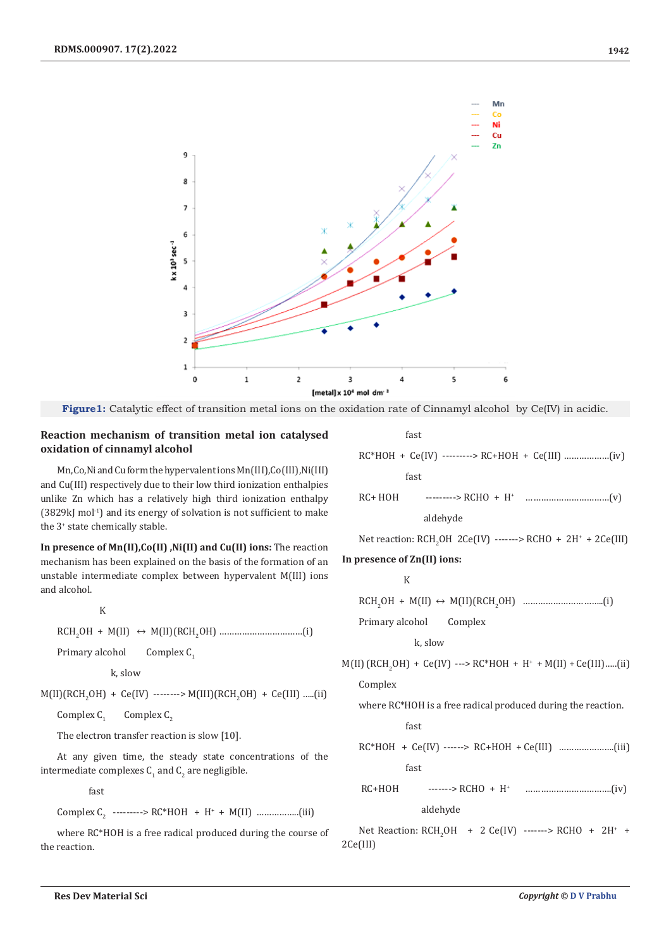



# **Reaction mechanism of transition metal ion catalysed oxidation of cinnamyl alcohol**

Mn,Co,Ni and Cu form the hypervalent ions Mn(III),Co(III),Ni(III) and Cu(III) respectively due to their low third ionization enthalpies unlike Zn which has a relatively high third ionization enthalpy  $(3829kJ mol<sup>-1</sup>)$  and its energy of solvation is not sufficient to make the 3+ state chemically stable.

**In presence of Mn(II),Co(II) ,Ni(II) and Cu(II) ions:** The reaction mechanism has been explained on the basis of the formation of an unstable intermediate complex between hypervalent M(III) ions and alcohol.

$$
\mathbf{K} = \mathbf{K} \times \mathbf{K}
$$

RCH2 OH + M(II) ↔ M(II)(RCH<sup>2</sup> OH) ……………………………(i)

Primary alcohol Complex C<sub>1</sub>

k, slow

 $M(II)(KCH<sub>2</sub>OH) + Ce(IV)$  -------->  $M(III)(KCH<sub>2</sub>OH) + Ce(III)$  .....(11)

Complex C<sub>1</sub> Complex  $C_2$ 

The electron transfer reaction is slow [10].

At any given time, the steady state concentrations of the intermediate complexes  $\mathsf{C}_1$  and  $\mathsf{C}_2$  are negligible.

fast

Complex  $C_2$  ---------> RC\*HOH + H<sup>+</sup> + M(II) ....................(iii)

where RC\*HOH is a free radical produced during the course of the reaction.

fast

RC\*HOH + Ce(IV) ---------> RC+HOH + Ce(III) ………………(iv) fast RC+ HOH ---------> RCHO + H<sup>+</sup> ……………………………(v)

aldehyde

Net reaction:  $RCH_2OH$  2Ce(IV) ------->  $RCHO + 2H^* + 2Ce(III)$ 

## **In presence of Zn(II) ions:**

k karena a K

RCH2 OH + M(II) ↔ M(II)(RCH<sup>2</sup> OH) …………………………..(i)

Primary alcohol Complex

k, slow

 $M(II)$  (RCH<sub>2</sub>OH) + Ce(IV) ---> RC\*HOH + H<sup>+</sup> + M(II) + Ce(III).....(ii)

Complex

where RC\*HOH is a free radical produced during the reaction.

fast

$$
RC*HOH + Ce(IV) \n---> RC+HOH + Ce(III) \n...
$$

fast

 RC+HOH -------> RCHO + H<sup>+</sup> …………………………….(iv) aldehyde

Net Reaction:  $RCH_2OH + 2 Ce(IV)$  ------->  $RCHO + 2H^* +$ 2Ce(III)